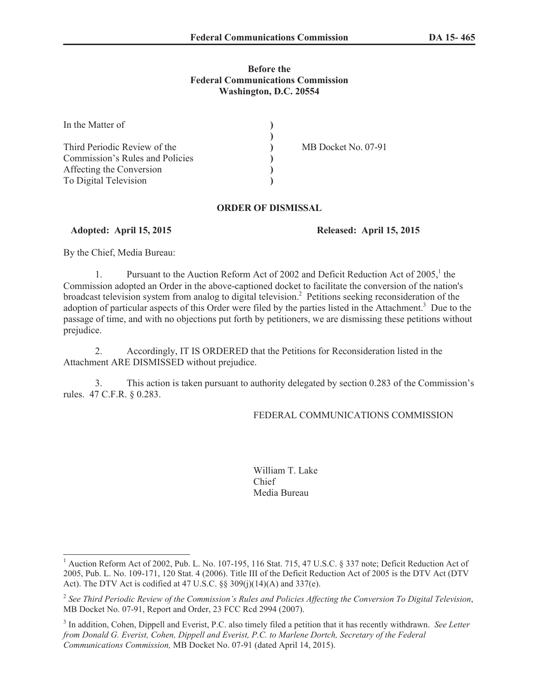### **Before the Federal Communications Commission Washington, D.C. 20554**

| In the Matter of                |                     |
|---------------------------------|---------------------|
|                                 |                     |
| Third Periodic Review of the    | MB Docket No. 07-91 |
| Commission's Rules and Policies |                     |
| Affecting the Conversion        |                     |
| To Digital Television           |                     |

### **ORDER OF DISMISSAL**

### **Adopted: April 15, 2015 Released: April 15, 2015**

By the Chief, Media Bureau:

1. Pursuant to the Auction Reform Act of 2002 and Deficit Reduction Act of 2005,<sup>1</sup> the Commission adopted an Order in the above-captioned docket to facilitate the conversion of the nation's broadcast television system from analog to digital television.<sup>2</sup> Petitions seeking reconsideration of the adoption of particular aspects of this Order were filed by the parties listed in the Attachment.<sup>3</sup> Due to the passage of time, and with no objections put forth by petitioners, we are dismissing these petitions without prejudice.

2. Accordingly, IT IS ORDERED that the Petitions for Reconsideration listed in the Attachment ARE DISMISSED without prejudice.

3. This action is taken pursuant to authority delegated by section 0.283 of the Commission's rules. 47 C.F.R. § 0.283.

# FEDERAL COMMUNICATIONS COMMISSION

William T. Lake Chief Media Bureau

<sup>&</sup>lt;sup>1</sup> Auction Reform Act of 2002, Pub. L. No. 107-195, 116 Stat. 715, 47 U.S.C. § 337 note; Deficit Reduction Act of 2005, Pub. L. No. 109-171, 120 Stat. 4 (2006). Title III of the Deficit Reduction Act of 2005 is the DTV Act (DTV Act). The DTV Act is codified at 47 U.S.C. §§ 309(j)(14)(A) and 337(e).

<sup>2</sup> *See Third Periodic Review of the Commission's Rules and Policies Affecting the Conversion To Digital Television*, MB Docket No. 07-91, Report and Order, 23 FCC Rcd 2994 (2007).

<sup>3</sup> In addition, Cohen, Dippell and Everist, P.C. also timely filed a petition that it has recently withdrawn. *See Letter from Donald G. Everist, Cohen, Dippell and Everist, P.C. to Marlene Dortch, Secretary of the Federal Communications Commission,* MB Docket No. 07-91 (dated April 14, 2015).